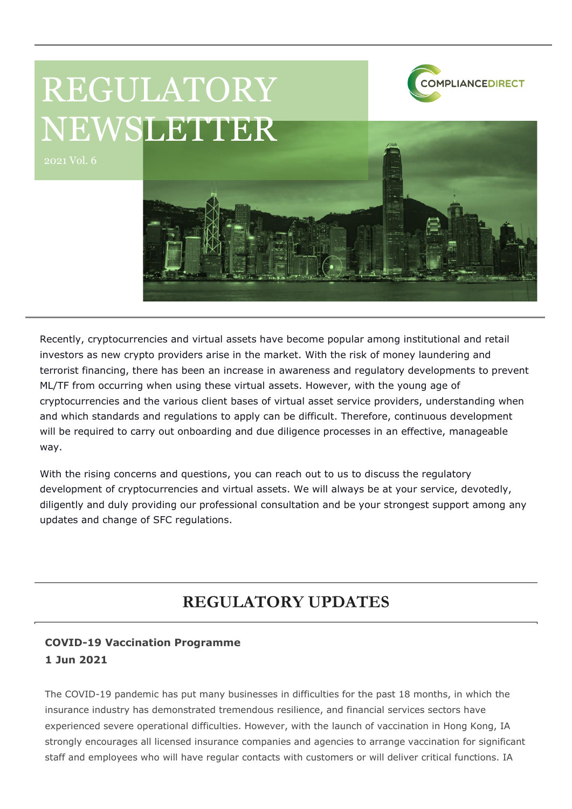## REGULATORY NEWSLETTER



2021 Vol. 6



Recently, cryptocurrencies and virtual assets have become popular among institutional and retail investors as new crypto providers arise in the market. With the risk of money laundering and terrorist financing, there has been an increase in awareness and regulatory developments to prevent ML/TF from occurring when using these virtual assets. However, with the young age of cryptocurrencies and the various client bases of virtual asset service providers, understanding when and which standards and regulations to apply can be difficult. Therefore, continuous development will be required to carry out onboarding and due diligence processes in an effective, manageable way.

With the rising concerns and questions, you can reach out to us to discuss the regulatory development of cryptocurrencies and virtual assets. We will always be at your service, devotedly, diligently and duly providing our professional consultation and be your strongest support among any updates and change of SFC regulations.

## **REGULATORY UPDATES**

## **COVID-19 Vaccination Programme 1 Jun 2021**

The COVID-19 pandemic has put many businesses in difficulties for the past 18 months, in which the insurance industry has demonstrated tremendous resilience, and financial services sectors have experienced severe operational difficulties. However, with the launch of vaccination in Hong Kong, IA strongly encourages all licensed insurance companies and agencies to arrange vaccination for significant staff and employees who will have regular contacts with customers or will deliver critical functions. IA